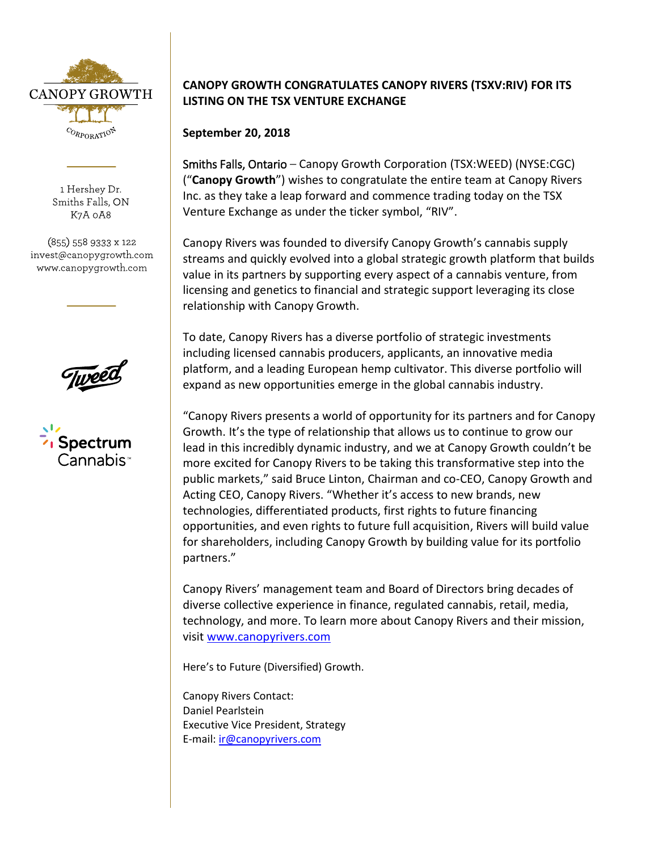

1 Hershey Dr. Smiths Falls, ON K7A 0A8

(855) 558 9333 x 122 invest@canopygrowth.com www.canopygrowth.com

## **CANOPY GROWTH CONGRATULATES CANOPY RIVERS (TSXV:RIV) FOR ITS LISTING ON THE TSX VENTURE EXCHANGE**

**September 20, 2018**

Smiths Falls, Ontario – Canopy Growth Corporation (TSX:WEED) (NYSE:CGC) ("**Canopy Growth**") wishes to congratulate the entire team at Canopy Rivers Inc. as they take a leap forward and commence trading today on the TSX Venture Exchange as under the ticker symbol, "RIV".

Canopy Rivers was founded to diversify Canopy Growth's cannabis supply streams and quickly evolved into a global strategic growth platform that builds value in its partners by supporting every aspect of a cannabis venture, from licensing and genetics to financial and strategic support leveraging its close relationship with Canopy Growth.

To date, Canopy Rivers has a diverse portfolio of strategic investments including licensed cannabis producers, applicants, an innovative media platform, and a leading European hemp cultivator. This diverse portfolio will expand as new opportunities emerge in the global cannabis industry.

"Canopy Rivers presents a world of opportunity for its partners and for Canopy Growth. It's the type of relationship that allows us to continue to grow our lead in this incredibly dynamic industry, and we at Canopy Growth couldn't be more excited for Canopy Rivers to be taking this transformative step into the public markets," said Bruce Linton, Chairman and co-CEO, Canopy Growth and Acting CEO, Canopy Rivers. "Whether it's access to new brands, new technologies, differentiated products, first rights to future financing opportunities, and even rights to future full acquisition, Rivers will build value for shareholders, including Canopy Growth by building value for its portfolio partners."

Canopy Rivers' management team and Board of Directors bring decades of diverse collective experience in finance, regulated cannabis, retail, media, technology, and more. To learn more about Canopy Rivers and their mission, visit [www.canopyrivers.com](http://www.canopyrivers.com/)

Here's to Future (Diversified) Growth.

Canopy Rivers Contact: Daniel Pearlstein Executive Vice President, Strategy E-mail: [ir@canopyrivers.com](mailto:ir@canopyrivers.com)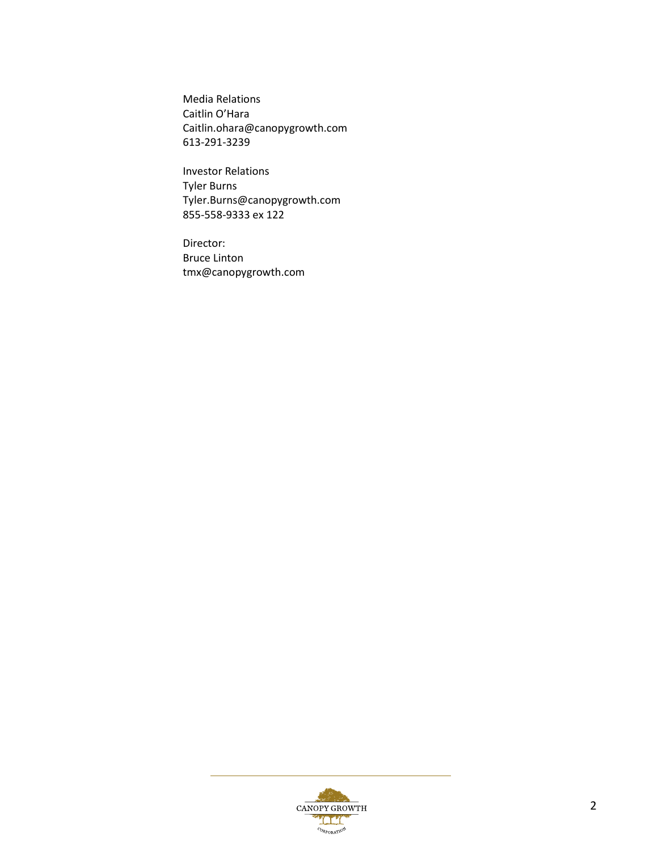Media Relations Caitlin O'Hara [Caitlin.ohara@canopygrowth.com](mailto:Caitlin.ohara@canopygrowth.com) 613-291-3239

Investor Relations Tyler Burns [Tyler.Burns@canopygrowth.com](mailto:Tyler.Burns@canopygrowth.com) 855-558-9333 ex 122

Director: Bruce Linton [tmx@canopygrowth.com](mailto:tmx@canopygrowth.com)